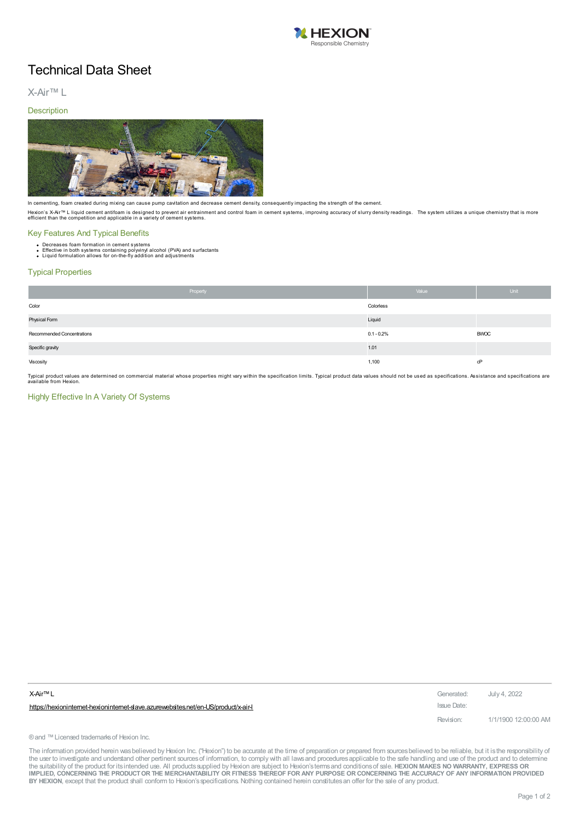

# Technical Data Sheet

X-Air™ L

### **Description**



In cementing, foam created during mixing can cause pump cavitation and decrease cement density, consequently impacting the strength of the cement.

Hexion's X-Air™ L liquid cement antifoam is designed to prevent air entrainment and control foam in cement systems, improving accuracy of slurry density readings. The system utilizes a unique chemistry that is more<br>effici

# Key Features And Typical Benefits

- 
- Decreases foam formation in cement systems<br>Effective in both systems containing polyvinyl alcohol (PVA) and surfactants<br>Liquid formulation allows for on-the-fly addition and adjustments

#### Typical Properties

|                            | Property | Value         | Unit        |
|----------------------------|----------|---------------|-------------|
| Color                      |          | Colorless     |             |
| Physical Form              |          | Liquid        |             |
| Recommended Concentrations |          | $0.1 - 0.2\%$ | <b>BWOC</b> |
| Specific gravity           |          | 1.01          |             |
| Viscosity                  |          | 1,100         | cP          |

Typical product values are determined on commercial material whose properties might vary within the specification limits. Typical product data values should not be used as specifications. Assistance and specifications are<br>

# Highly Effective In A Variety Of Systems

| X-Air™ L                                                                         | Generated:  | July 4, 2022         |
|----------------------------------------------------------------------------------|-------------|----------------------|
| https://hexionintemet-hexionintemet-slave.azurewebsites.net/en-US/product/x-air- | Issue Date: |                      |
|                                                                                  | Revision:   | 1/1/1900 12:00:00 AM |

® and ™ Licensed trademarks of Hexion Inc.

The information provided herein was believed by Hexion Inc. ("Hexion") to be accurate at the time of preparation or prepared from sources believed to be reliable, but it is the responsibility of the user to investigate and understand other pertinent sources of information, to comply with all laws and procedures applicable to the safe handling and use of the product and to determine<br>the suitability of the product f IMPLIED, CONCERNING THE PRODUCT OR THE MERCHANTABILITY OR FITNESS THEREOF FOR ANY PURPOSE OR CONCERNING THE ACCURACY OF ANY INFORMATION PROVIDED **BY HEXION**, except that the product shall conform to Hexion'sspecifications. Nothing contained herein constitutesan offer for the sale of any product.